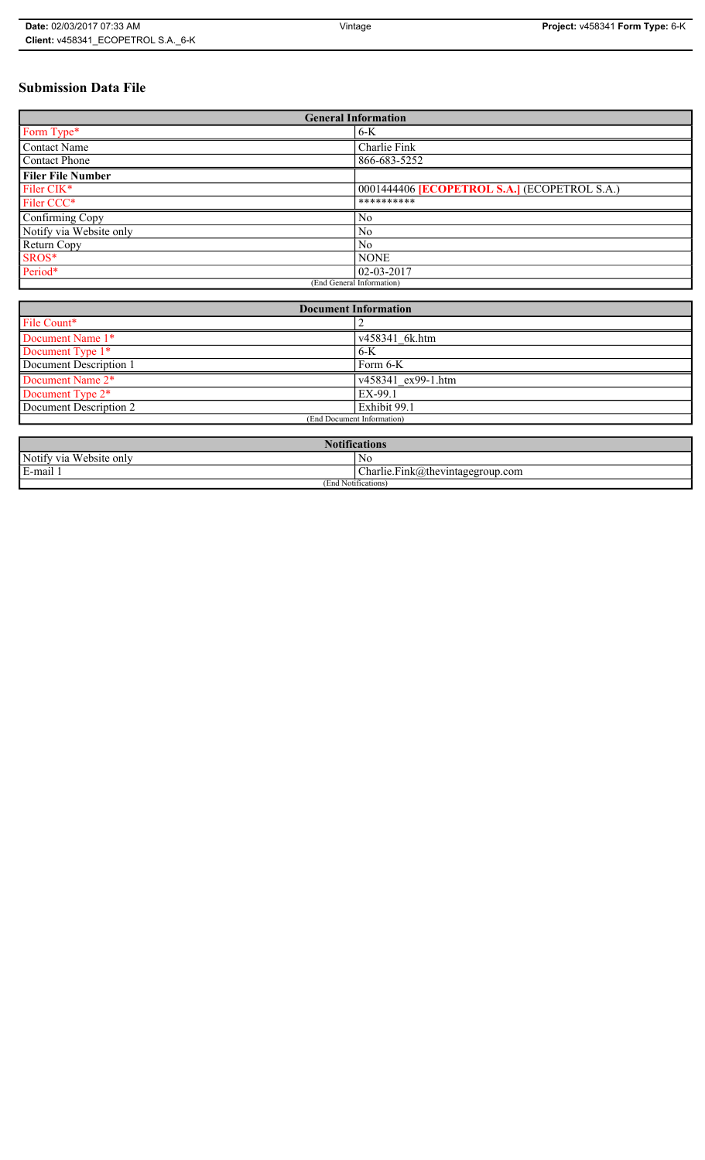# **Submission Data File**

| <b>General Information</b> |                                                   |
|----------------------------|---------------------------------------------------|
| Form Type*                 | $6-K$                                             |
| <b>Contact Name</b>        | Charlie Fink                                      |
| <b>Contact Phone</b>       | 866-683-5252                                      |
| <b>Filer File Number</b>   |                                                   |
| Filer CIK <sup>*</sup>     | 0001444406 <b>ECOPETROL S.A.</b> (ECOPETROL S.A.) |
| Filer CCC*                 | **********                                        |
| Confirming Copy            | No                                                |
| Notify via Website only    | N <sub>0</sub>                                    |
| Return Copy                | N <sub>0</sub>                                    |
| SROS*                      | <b>NONE</b>                                       |
| Period*                    | $02 - 03 - 2017$                                  |
| (End General Information)  |                                                   |

| <b>Document Information</b>  |                    |
|------------------------------|--------------------|
| File Count*                  |                    |
| Document Name 1*             | v458341 6k.htm     |
| Document Type 1*             | $6-K$              |
| Document Description 1       | Form 6-K           |
| Document Name 2*             | v458341 ex99-1.htm |
| Document Type 2 <sup>*</sup> | EX-99.1            |
| Document Description 2       | Exhibit 99.1       |
| (End Document Information)   |                    |
|                              |                    |

| <b>Notifications</b>    |                                  |
|-------------------------|----------------------------------|
| Notify via Website only | No                               |
| E-mail 1                | Charlie.Fink@thevintagegroup.com |
| (End Notifications)     |                                  |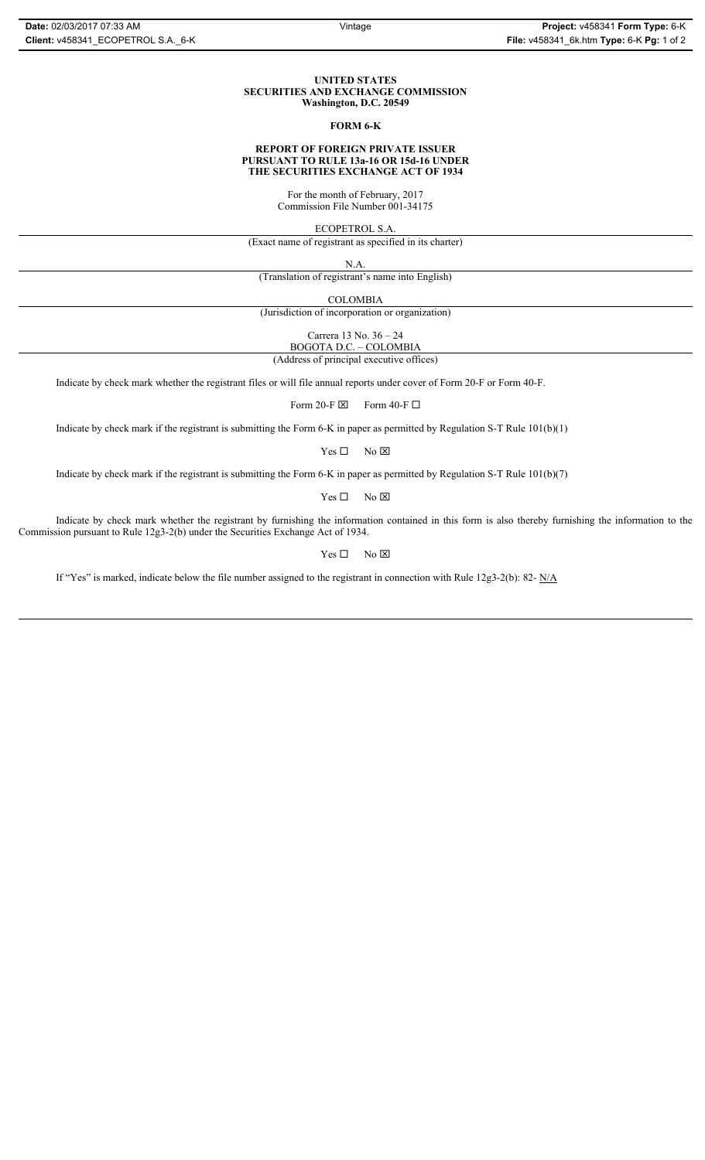## **UNITED STATES SECURITIES AND EXCHANGE COMMISSION Washington, D.C. 20549**

## **FORM 6-K**

## **REPORT OF FOREIGN PRIVATE ISSUER PURSUANT TO RULE 13a-16 OR 15d-16 UNDER THE SECURITIES EXCHANGE ACT OF 1934**

For the month of February, 2017 Commission File Number 001-34175

ECOPETROL S.A.

(Exact name of registrant as specified in its charter)

N.A.

(Translation of registrant's name into English)

COLOMBIA

(Jurisdiction of incorporation or organization)

Carrera 13 No. 36 – 24

BOGOTA D.C. – COLOMBIA

(Address of principal executive offices)

Indicate by check mark whether the registrant files or will file annual reports under cover of Form 20-F or Form 40-F.

Form 20-F  $\boxtimes$  Form 40-F  $\Box$ 

Indicate by check mark if the registrant is submitting the Form 6-K in paper as permitted by Regulation S-T Rule 101(b)(1)

 $Yes \Box$  No  $\boxtimes$ 

Indicate by check mark if the registrant is submitting the Form 6-K in paper as permitted by Regulation S-T Rule 101(b)(7)

 $Yes \Box$  No  $\boxtimes$ 

Indicate by check mark whether the registrant by furnishing the information contained in this form is also thereby furnishing the information to the Commission pursuant to Rule 12g3-2(b) under the Securities Exchange Act of 1934.

 $Yes \Box$  No  $\boxtimes$ 

If "Yes" is marked, indicate below the file number assigned to the registrant in connection with Rule 12g3-2(b): 82- N/A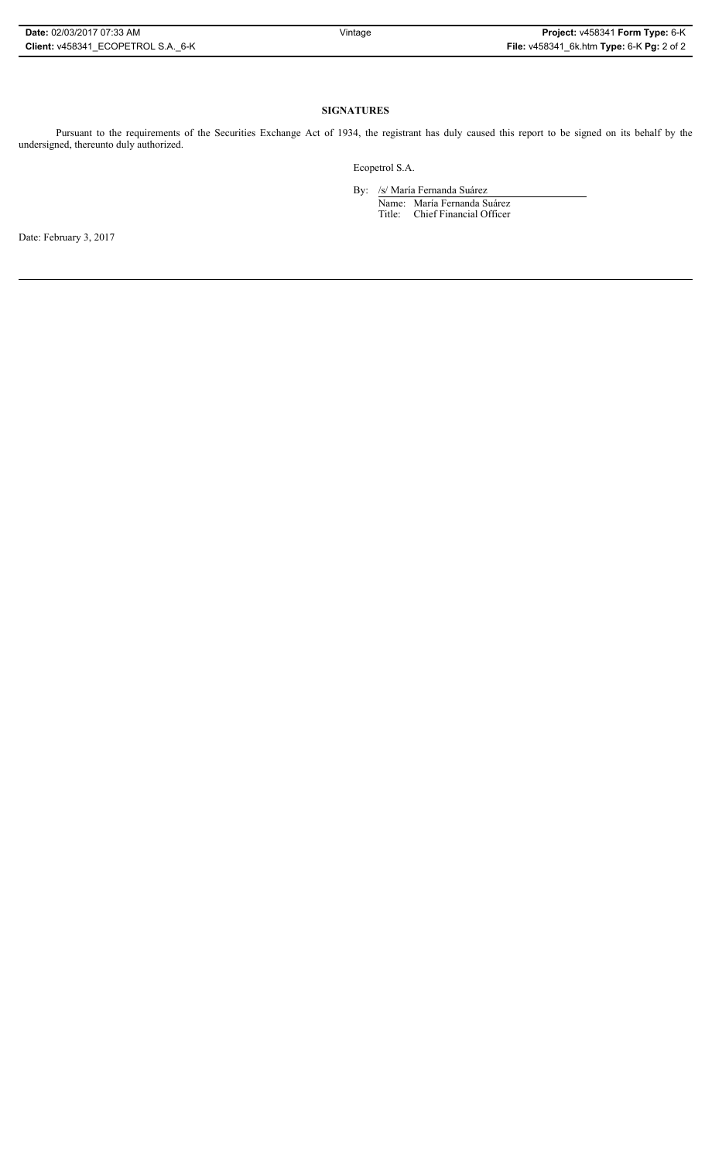## **SIGNATURES**

Pursuant to the requirements of the Securities Exchange Act of 1934, the registrant has duly caused this report to be signed on its behalf by the undersigned, thereunto duly authorized.

Ecopetrol S.A.

By: /s/ María Fernanda Suárez Name: María Fernanda Suárez Title: Chief Financial Officer

Date: February 3, 2017